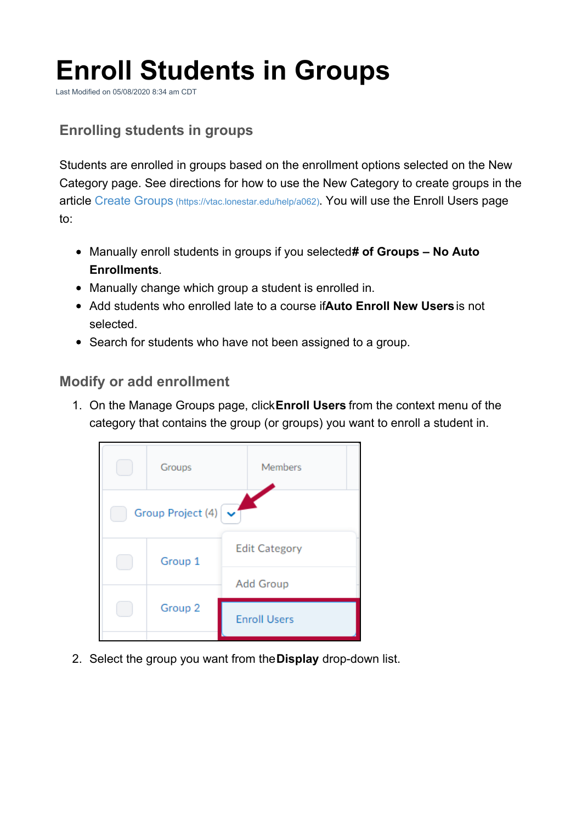# **Enroll Students in Groups**

Last Modified on 05/08/2020 8:34 am CDT

## **Enrolling students in groups**

Students are enrolled in groups based on the enrollment options selected on the New Category page. See directions for how to use the New Category to create groups in the article Create Groups (https://vtac.lonestar.edu/help/a062). You will use the Enroll Users page to:

- Manually enroll students in groups if you selected**# of Groups – No Auto Enrollments**.
- Manually change which group a student is enrolled in.
- Add students who enrolled late to a course if**Auto Enroll New Users**is not selected.
- Search for students who have not been assigned to a group.

#### **Modify or add enrollment**

1. On the Manage Groups page, click**Enroll Users** from the context menu of the category that contains the group (or groups) you want to enroll a student in.



2. Select the group you want from the**Display** drop-down list.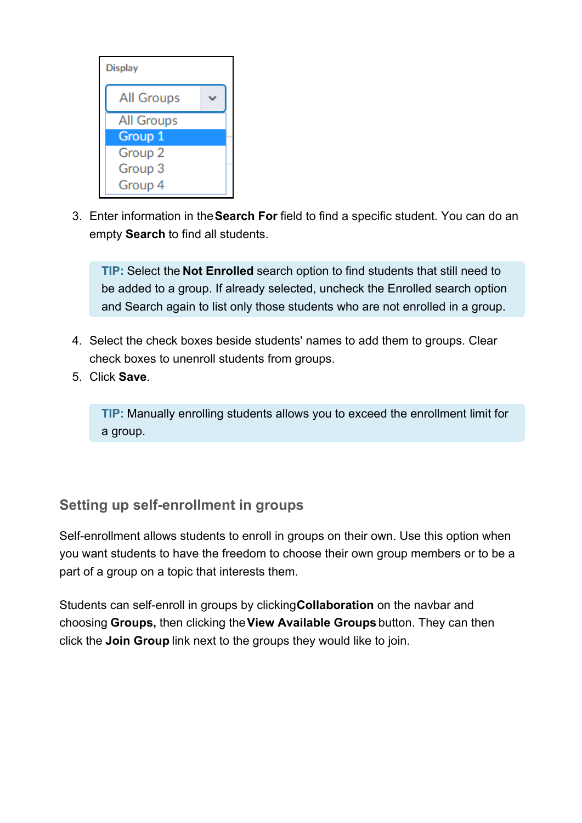

3. Enter information in the**Search For** field to find a specific student. You can do an empty **Search** to find all students.

**TIP:** Select the **Not Enrolled** search option to find students that still need to be added to a group. If already selected, uncheck the Enrolled search option and Search again to list only those students who are not enrolled in a group.

- 4. Select the check boxes beside students' names to add them to groups. Clear check boxes to unenroll students from groups.
- 5. Click **Save**.

**TIP:** Manually enrolling students allows you to exceed the enrollment limit for a group.

### **Setting up self-enrollment in groups**

Self-enrollment allows students to enroll in groups on their own. Use this option when you want students to have the freedom to choose their own group members or to be a part of a group on a topic that interests them.

Students can self-enroll in groups by clicking**Collaboration** on the navbar and choosing **Groups,** then clicking the**View Available Groups** button. They can then click the **Join Group** link next to the groups they would like to join.